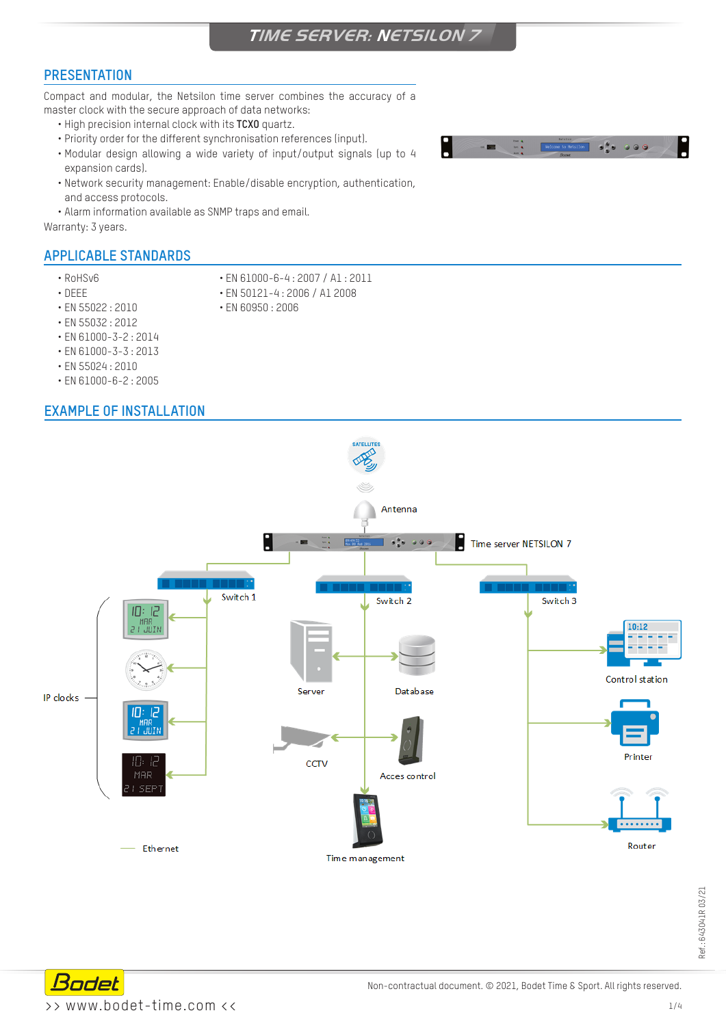# **TIME SERVER: NETSILON 7**

### **PRESENTATION**

Compact and modular, the Netsilon time server combines the accuracy of a master clock with the secure approach of data networks:

- High precision internal clock with its **TCXO** quartz.
- Priority order for the different synchronisation references (input).
- Modular design allowing a wide variety of input/output signals (up to 4 expansion cards).
- Network security management: Enable/disable encryption, authentication, and access protocols.
- Alarm information available as SNMP traps and email.

Warranty: 3 years.

# **APPLICABLE STANDARDS**

- 
- RoHSv6 EN 61000-6-4 : 2007 / A1 : 2011
	-
- EN 55022 : 2010 EN 60950 : 2006
- DEEE EN 50121-4 : 2006 / A1 2008
	-
- EN 55032 : 2012
- EN 61000-3-2 : 2014
- EN 61000-3-3 : 2013
- EN 55024 : 2010
- EN 61000-6-2 : 2005

### **EXAMPLE OF INSTALLATION**

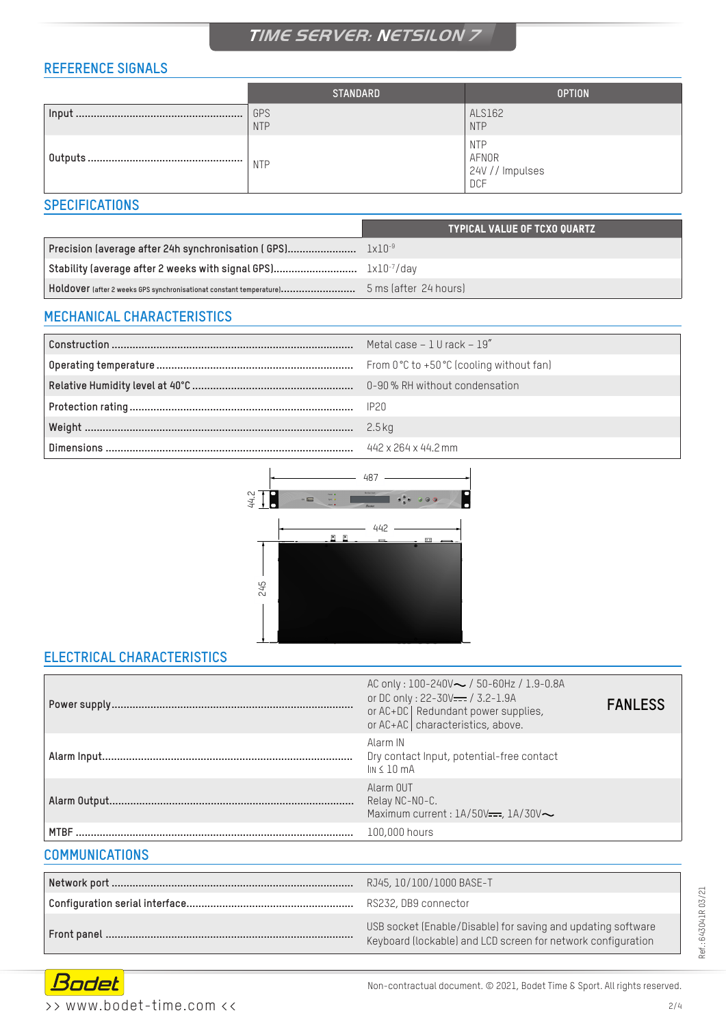# **TIME SERVER: NETSILON 7**

# **REFERENCE SIGNALS**

| <b>STANDARD</b>   | <b>OPTION</b>                                        |
|-------------------|------------------------------------------------------|
| GPS<br><b>NTP</b> | ALS162<br><b>NTP</b>                                 |
| <b>NTP</b>        | <b>NTP</b><br>AFNOR<br>24V // Impulses<br><b>DCF</b> |

### **SPECIFICATIONS**

|                                                                     | <b>TYPICAL VALUE OF TCXO QUARTZ</b> |
|---------------------------------------------------------------------|-------------------------------------|
|                                                                     |                                     |
|                                                                     |                                     |
| HOLOOVET (after 2 weeks GPS synchronisationat constant temperature) | 5 ms (after 24 hours)               |

### **MECHANICAL CHARACTERISTICS**

| Metal case $-1$ U rack $-19''$ |
|--------------------------------|
|                                |
|                                |
|                                |
|                                |
|                                |



## **ELECTRICAL CHARACTERISTICS**

|                       | AC only: $100-240V \sim /50-60Hz / 1.9-0.8A$<br>or DC only: 22-30V <del>---</del> / 3.2-1.9A<br>or AC+DC   Redundant power supplies,<br>or AC+AC   characteristics, above. | <b>FANLESS</b> |
|-----------------------|----------------------------------------------------------------------------------------------------------------------------------------------------------------------------|----------------|
|                       | Alarm IN<br>Dry contact Input, potential-free contact<br>$\ln 5$ 10 mA                                                                                                     |                |
|                       | Alarm OUT<br>Relay NC-NO-C.<br>Maximum current: 1A/50V <del>---</del> , 1A/30V~                                                                                            |                |
| <b>MTBF</b>           | 100,000 hours                                                                                                                                                              |                |
| <b>COMMUNICATIONS</b> |                                                                                                                                                                            |                |

| RJ45, 10/100/1000 BASE-T                                                                                                     |
|------------------------------------------------------------------------------------------------------------------------------|
| RS232, DB9 connector                                                                                                         |
| USB socket (Enable/Disable) for saving and updating software<br>Keyboard (lockable) and LCD screen for network configuration |

Ref.: 643041R03/21 Ref.: 643O41R 03/21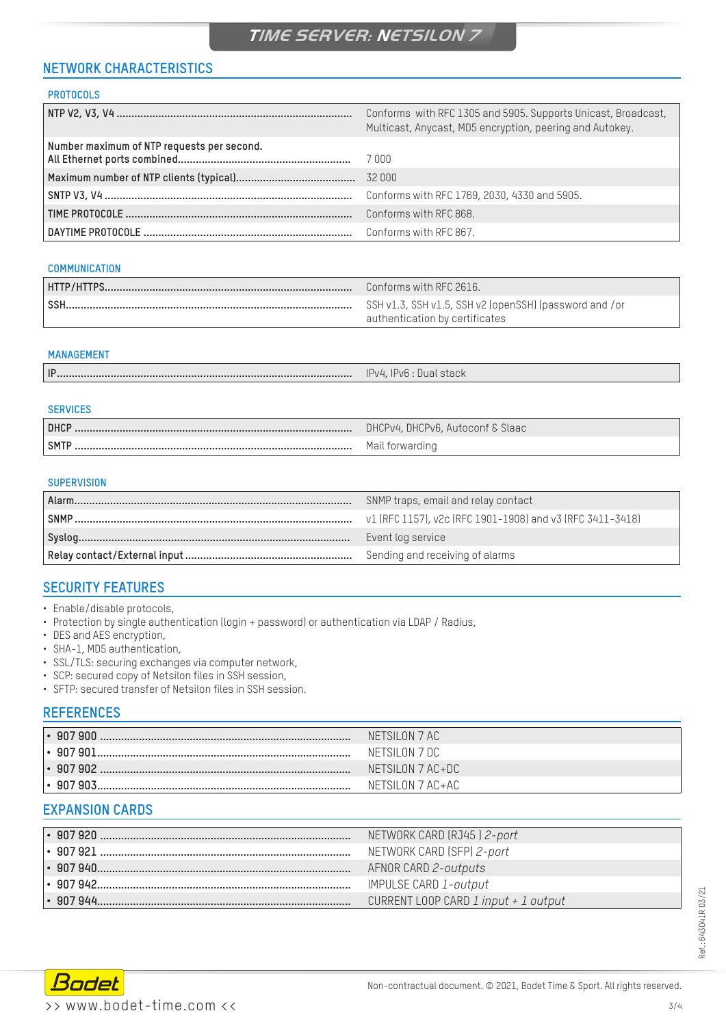# **NETWORK CHARACTERISTICS**

#### **PROTOCOLS**

|                                            | Conforms with RFC 1305 and 5905. Supports Unicast, Broadcast,<br>Multicast, Anycast, MD5 encryption, peering and Autokey. |
|--------------------------------------------|---------------------------------------------------------------------------------------------------------------------------|
| Number maximum of NTP requests per second. |                                                                                                                           |
|                                            | 32 000                                                                                                                    |
|                                            | Conforms with RFC 1769, 2030, 4330 and 5905.                                                                              |
|                                            | Conforms with RFC 868.                                                                                                    |
|                                            | Conforms with RFC 867.                                                                                                    |

#### **COMMUNICATION**

| Conforms with RFC 2616.                                                                  |
|------------------------------------------------------------------------------------------|
| SSH v1.3, SSH v1.5, SSH v2 (openSSH) (password and /or<br>authentication by certificates |

#### **MANAGEMENT**

| ID | IPv4, IPv6 : Dual stack |
|----|-------------------------|
|----|-------------------------|

| <b>SERVICES</b> |                                  |
|-----------------|----------------------------------|
| <b>DHCP</b>     | DHCPv4, DHCPv6, Autoconf & Slaac |
| <b>SMTP</b>     | Mail forwarding                  |

#### **SUPERVISION**

| Alarm.      | SNMP traps, email and relay contact                       |
|-------------|-----------------------------------------------------------|
| <b>SNMP</b> | v1 (RFC 1157), v2c (RFC 1901-1908) and v3 (RFC 3411-3418) |
|             | Event log service                                         |
|             | Sending and receiving of alarms                           |

## **SECURITY FEATURES**

- Enable/disable protocols,
- Protection by single authentication (login + password) or authentication via LDAP / Radius,
- DES and AES encryption,
- SHA-1, MD5 authentication,
- SSL/TLS: securing exchanges via computer network,
- SCP: secured copy of Netsilon files in SSH session,
- SFTP: secured transfer of Netsilon files in SSH session.

#### **REFERENCES**

| $\, \cdot \,$ 907 900 | NETSILON 7 AC    |
|-----------------------|------------------|
| ∣• 907 901.           | NETSILON 7 DC    |
| $\cdot$ 907902        | NETSILON 7 AC+DC |
| $\cdot$ 907903        | NETSILON 7 AC+AC |

### **EXPANSION CARDS**

| I• 907 920                      | NETWORK CARD (RJ45) 2-port            |
|---------------------------------|---------------------------------------|
| '∙ 907 921                      | NETWORK CARD (SFP) 2-port             |
| $\,\cdot\,$ 907 940 $\,\cdot\,$ | AFNOR CARD 2-outputs                  |
| $\cdot$ 907942                  | IMPULSE CARD 1-output                 |
| Ⅰ• 907 944.                     | CURRENT LOOP CARD 1 input $+1$ output |